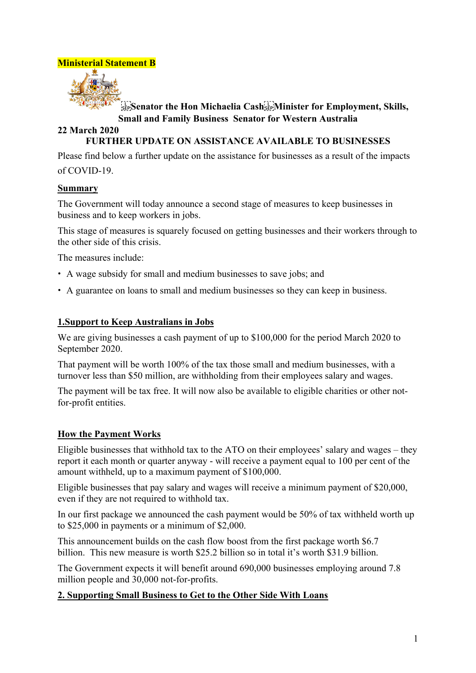

# **SEP**S **Example 3 The Hon Michaelia Cash** Sep Minister for Employment, Skills, **Small and Family Business Senator for Western Australia**

### **22 March 2020 FURTHER UPDATE ON ASSISTANCE AVAILABLE TO BUSINESSES**

Please find below a further update on the assistance for businesses as a result of the impacts of COVID-19.

## **Summary**

The Government will today announce a second stage of measures to keep businesses in business and to keep workers in jobs.

This stage of measures is squarely focused on getting businesses and their workers through to the other side of this crisis.

The measures include:

- A wage subsidy for small and medium businesses to save jobs; and
- A guarantee on loans to small and medium businesses so they can keep in business.

### **1.Support to Keep Australians in Jobs**

We are giving businesses a cash payment of up to \$100,000 for the period March 2020 to September 2020.

That payment will be worth 100% of the tax those small and medium businesses, with a turnover less than \$50 million, are withholding from their employees salary and wages.

The payment will be tax free. It will now also be available to eligible charities or other notfor-profit entities.

### **How the Payment Works**

Eligible businesses that withhold tax to the ATO on their employees' salary and wages – they report it each month or quarter anyway - will receive a payment equal to 100 per cent of the amount withheld, up to a maximum payment of \$100,000.

Eligible businesses that pay salary and wages will receive a minimum payment of \$20,000, even if they are not required to withhold tax.

In our first package we announced the cash payment would be 50% of tax withheld worth up to \$25,000 in payments or a minimum of \$2,000.

This announcement builds on the cash flow boost from the first package worth \$6.7 billion. This new measure is worth \$25.2 billion so in total it's worth \$31.9 billion.

The Government expects it will benefit around 690,000 businesses employing around 7.8 million people and 30,000 not-for-profits.

### **2. Supporting Small Business to Get to the Other Side With Loans**